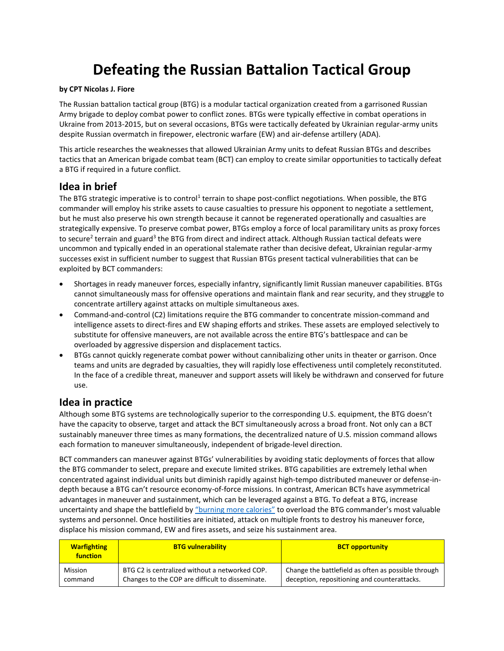# **Defeating the Russian Battalion Tactical Group**

#### **by CPT Nicolas J. Fiore**

The Russian battalion tactical group (BTG) is a modular tactical organization created from a garrisoned Russian Army brigade to deploy combat power to conflict zones. BTGs were typically effective in combat operations in Ukraine from 2013-2015, but on several occasions, BTGs were tactically defeated by Ukrainian regular-army units despite Russian overmatch in firepower, electronic warfare (EW) and air-defense artillery (ADA).

This article researches the weaknesses that allowed Ukrainian Army units to defeat Russian BTGs and describes tactics that an American brigade combat team (BCT) can employ to create similar opportunities to tactically defeat a BTG if required in a future conflict.

## **Idea in brief**

The BTG strategic imperative is to control<sup>1</sup> terrain to shape post-conflict negotiations. When possible, the BTG commander will employ his strike assets to cause casualties to pressure his opponent to negotiate a settlement, but he must also preserve his own strength because it cannot be regenerated operationally and casualties are strategically expensive. To preserve combat power, BTGs employ a force of local paramilitary units as proxy forces to secure<sup>2</sup> terrain and guard<sup>3</sup> the BTG from direct and indirect attack. Although Russian tactical defeats were uncommon and typically ended in an operational stalemate rather than decisive defeat, Ukrainian regular-army successes exist in sufficient number to suggest that Russian BTGs present tactical vulnerabilities that can be exploited by BCT commanders:

- Shortages in ready maneuver forces, especially infantry, significantly limit Russian maneuver capabilities. BTGs cannot simultaneously mass for offensive operations and maintain flank and rear security, and they struggle to concentrate artillery against attacks on multiple simultaneous axes.
- Command-and-control (C2) limitations require the BTG commander to concentrate mission-command and intelligence assets to direct-fires and EW shaping efforts and strikes. These assets are employed selectively to substitute for offensive maneuvers, are not available across the entire BTG's battlespace and can be overloaded by aggressive dispersion and displacement tactics.
- BTGs cannot quickly regenerate combat power without cannibalizing other units in theater or garrison. Once teams and units are degraded by casualties, they will rapidly lose effectiveness until completely reconstituted. In the face of a credible threat, maneuver and support assets will likely be withdrawn and conserved for future use.

## **Idea in practice**

Although some BTG systems are technologically superior to the corresponding U.S. equipment, the BTG doesn't have the capacity to observe, target and attack the BCT simultaneously across a broad front. Not only can a BCT sustainably maneuver three times as many formations, the decentralized nature of U.S. mission command allows each formation to maneuver simultaneously, independent of brigade-level direction.

BCT commanders can maneuver against BTGs' vulnerabilities by avoiding static deployments of forces that allow the BTG commander to select, prepare and execute limited strikes. BTG capabilities are extremely lethal when concentrated against individual units but diminish rapidly against high-tempo distributed maneuver or defense-indepth because a BTG can't resource economy-of-force missions. In contrast, American BCTs have asymmetrical advantages in maneuver and sustainment, which can be leveraged against a BTG. To defeat a BTG, increase uncertainty and shape the battlefield by ["burning more calories"](Sidebar1-Fiore17-Asymmetric%20Calorie%20Burning%20Strategy.pdf) to overload the BTG commander's most valuable systems and personnel. Once hostilities are initiated, attack on multiple fronts to destroy his maneuver force, displace his mission command, EW and fires assets, and seize his sustainment area.

| <b>Warfighting</b><br>function | <b>BTG vulnerability</b>                         | <b>BCT opportunity</b>                              |
|--------------------------------|--------------------------------------------------|-----------------------------------------------------|
| Mission                        | BTG C2 is centralized without a networked COP.   | Change the battlefield as often as possible through |
| command                        | Changes to the COP are difficult to disseminate. | deception, repositioning and counterattacks.        |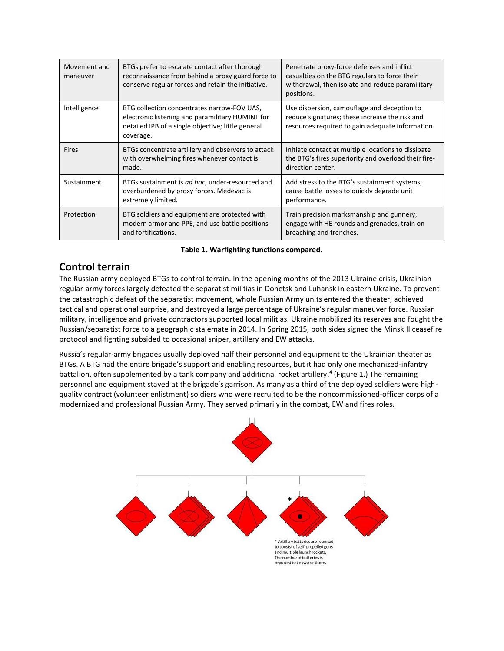| Movement and<br>maneuver | BTGs prefer to escalate contact after thorough<br>reconnaissance from behind a proxy guard force to<br>conserve regular forces and retain the initiative.          | Penetrate proxy-force defenses and inflict<br>casualties on the BTG regulars to force their<br>withdrawal, then isolate and reduce paramilitary<br>positions. |
|--------------------------|--------------------------------------------------------------------------------------------------------------------------------------------------------------------|---------------------------------------------------------------------------------------------------------------------------------------------------------------|
| Intelligence             | BTG collection concentrates narrow-FOV UAS,<br>electronic listening and paramilitary HUMINT for<br>detailed IPB of a single objective; little general<br>coverage. | Use dispersion, camouflage and deception to<br>reduce signatures; these increase the risk and<br>resources required to gain adequate information.             |
| <b>Fires</b>             | BTGs concentrate artillery and observers to attack<br>with overwhelming fires whenever contact is<br>made.                                                         | Initiate contact at multiple locations to dissipate<br>the BTG's fires superiority and overload their fire-<br>direction center.                              |
| Sustainment              | BTGs sustainment is ad hoc, under-resourced and<br>overburdened by proxy forces. Medevac is<br>extremely limited.                                                  | Add stress to the BTG's sustainment systems;<br>cause battle losses to quickly degrade unit<br>performance.                                                   |
| Protection               | BTG soldiers and equipment are protected with<br>modern armor and PPE, and use battle positions<br>and fortifications.                                             | Train precision marksmanship and gunnery,<br>engage with HE rounds and grenades, train on<br>breaching and trenches.                                          |

#### **Table 1. Warfighting functions compared.**

# **Control terrain**

The Russian army deployed BTGs to control terrain. In the opening months of the 2013 Ukraine crisis, Ukrainian regular-army forces largely defeated the separatist militias in Donetsk and Luhansk in eastern Ukraine. To prevent the catastrophic defeat of the separatist movement, whole Russian Army units entered the theater, achieved tactical and operational surprise, and destroyed a large percentage of Ukraine's regular maneuver force. Russian military, intelligence and private contractors supported local militias. Ukraine mobilized its reserves and fought the Russian/separatist force to a geographic stalemate in 2014. In Spring 2015, both sides signed the Minsk II ceasefire protocol and fighting subsided to occasional sniper, artillery and EW attacks.

Russia's regular-army brigades usually deployed half their personnel and equipment to the Ukrainian theater as BTGs. A BTG had the entire brigade's support and enabling resources, but it had only one mechanized-infantry battalion, often supplemented by a tank company and additional rocket artillery.<sup>4</sup> (Figure 1.) The remaining personnel and equipment stayed at the brigade's garrison. As many as a third of the deployed soldiers were highquality contract (volunteer enlistment) soldiers who were recruited to be the noncommissioned-officer corps of a modernized and professional Russian Army. They served primarily in the combat, EW and fires roles.

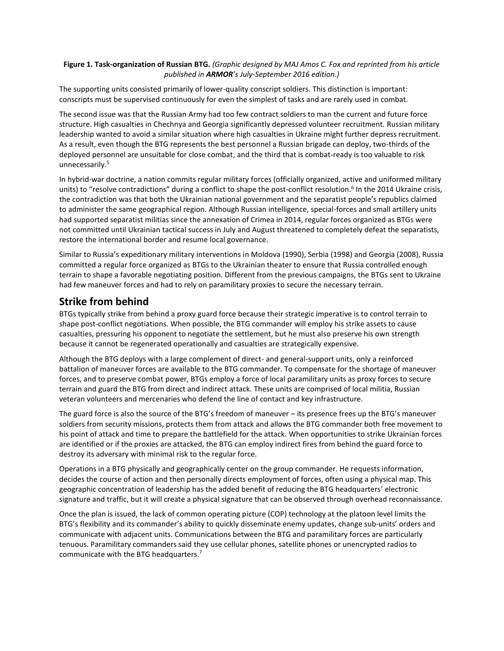#### **Figure 1. Task-organization of Russian BTG.** *(Graphic designed by MAJ Amos C. Fox and reprinted from his article published in ARMOR's July-September 2016 edition.)*

The supporting units consisted primarily of lower-quality conscript soldiers. This distinction is important: conscripts must be supervised continuously for even the simplest of tasks and are rarely used in combat.

The second issue was that the Russian Army had too few contract soldiers to man the current and future force structure. High casualties in Chechnya and Georgia significantly depressed volunteer recruitment. Russian military leadership wanted to avoid a similar situation where high casualties in Ukraine might further depress recruitment. As a result, even though the BTG represents the best personnel a Russian brigade can deploy, two-thirds of the deployed personnel are unsuitable for close combat, and the third that is combat-ready is too valuable to risk unnecessarily.<sup>5</sup>

In hybrid-war doctrine, a nation commits regular military forces (officially organized, active and uniformed military units) to "resolve contradictions" during a conflict to shape the post-conflict resolution.<sup>6</sup> In the 2014 Ukraine crisis, the contradiction was that both the Ukrainian national government and the separatist people's republics claimed to administer the same geographical region. Although Russian intelligence, special-forces and small artillery units had supported separatist militias since the annexation of Crimea in 2014, regular forces organized as BTGs were not committed until Ukrainian tactical success in July and August threatened to completely defeat the separatists, restore the international border and resume local governance.

Similar to Russia's expeditionary military interventions in Moldova (1990), Serbia (1998) and Georgia (2008), Russia committed a regular force organized as BTGs to the Ukrainian theater to ensure that Russia controlled enough terrain to shape a favorable negotiating position. Different from the previous campaigns, the BTGs sent to Ukraine had few maneuver forces and had to rely on paramilitary proxies to secure the necessary terrain.

# **Strike from behind**

BTGs typically strike from behind a proxy guard force because their strategic imperative is to control terrain to shape post-conflict negotiations. When possible, the BTG commander will employ his strike assets to cause casualties, pressuring his opponent to negotiate the settlement, but he must also preserve his own strength because it cannot be regenerated operationally and casualties are strategically expensive.

Although the BTG deploys with a large complement of direct- and general-support units, only a reinforced battalion of maneuver forces are available to the BTG commander. To compensate for the shortage of maneuver forces, and to preserve combat power, BTGs employ a force of local paramilitary units as proxy forces to secure terrain and guard the BTG from direct and indirect attack. These units are comprised of local militia, Russian veteran volunteers and mercenaries who defend the line of contact and key infrastructure.

The guard force is also the source of the BTG's freedom of maneuver – its presence frees up the BTG's maneuver soldiers from security missions, protects them from attack and allows the BTG commander both free movement to his point of attack and time to prepare the battlefield for the attack. When opportunities to strike Ukrainian forces are identified or if the proxies are attacked, the BTG can employ indirect fires from behind the guard force to destroy its adversary with minimal risk to the regular force.

Operations in a BTG physically and geographically center on the group commander. He requests information, decides the course of action and then personally directs employment of forces, often using a physical map. This geographic concentration of leadership has the added benefit of reducing the BTG headquarters' electronic signature and traffic, but it will create a physical signature that can be observed through overhead reconnaissance.

Once the plan is issued, the lack of common operating picture (COP) technology at the platoon level limits the BTG's flexibility and its commander's ability to quickly disseminate enemy updates, change sub-units' orders and communicate with adjacent units. Communications between the BTG and paramilitary forces are particularly tenuous. Paramilitary commanders said they use cellular phones, satellite phones or unencrypted radios to communicate with the BTG headquarters.<sup>7</sup>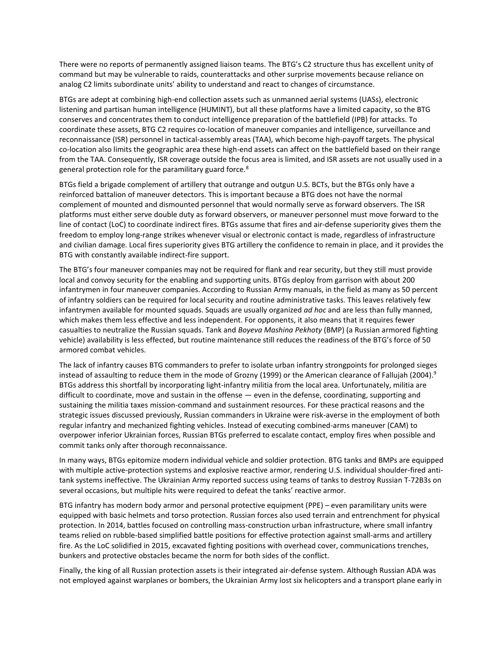There were no reports of permanently assigned liaison teams. The BTG's C2 structure thus has excellent unity of command but may be vulnerable to raids, counterattacks and other surprise movements because reliance on analog C2 limits subordinate units' ability to understand and react to changes of circumstance.

BTGs are adept at combining high-end collection assets such as unmanned aerial systems (UASs), electronic listening and partisan human intelligence (HUMINT), but all these platforms have a limited capacity, so the BTG conserves and concentrates them to conduct intelligence preparation of the battlefield (IPB) for attacks. To coordinate these assets, BTG C2 requires co-location of maneuver companies and intelligence, surveillance and reconnaissance (ISR) personnel in tactical-assembly areas (TAA), which become high-payoff targets. The physical co-location also limits the geographic area these high-end assets can affect on the battlefield based on their range from the TAA. Consequently, ISR coverage outside the focus area is limited, and ISR assets are not usually used in a general protection role for the paramilitary guard force.<sup>8</sup>

BTGs field a brigade complement of artillery that outrange and outgun U.S. BCTs, but the BTGs only have a reinforced battalion of maneuver detectors. This is important because a BTG does not have the normal complement of mounted and dismounted personnel that would normally serve as forward observers. The ISR platforms must either serve double duty as forward observers, or maneuver personnel must move forward to the line of contact (LoC) to coordinate indirect fires. BTGs assume that fires and air-defense superiority gives them the freedom to employ long-range strikes whenever visual or electronic contact is made, regardless of infrastructure and civilian damage. Local fires superiority gives BTG artillery the confidence to remain in place, and it provides the BTG with constantly available indirect-fire support.

The BTG's four maneuver companies may not be required for flank and rear security, but they still must provide local and convoy security for the enabling and supporting units. BTGs deploy from garrison with about 200 infantrymen in four maneuver companies. According to Russian Army manuals, in the field as many as 50 percent of infantry soldiers can be required for local security and routine administrative tasks. This leaves relatively few infantrymen available for mounted squads. Squads are usually organized *ad hoc* and are less than fully manned, which makes them less effective and less independent. For opponents, it also means that it requires fewer casualties to neutralize the Russian squads. Tank and *Boyeva Mashina Pekhoty* (BMP) (a Russian armored fighting vehicle) availability is less effected, but routine maintenance still reduces the readiness of the BTG's force of 50 armored combat vehicles.

The lack of infantry causes BTG commanders to prefer to isolate urban infantry strongpoints for prolonged sieges instead of assaulting to reduce them in the mode of Grozny (1999) or the American clearance of Fallujah (2004). 9 BTGs address this shortfall by incorporating light-infantry militia from the local area. Unfortunately, militia are difficult to coordinate, move and sustain in the offense — even in the defense, coordinating, supporting and sustaining the militia taxes mission-command and sustainment resources. For these practical reasons and the strategic issues discussed previously, Russian commanders in Ukraine were risk-averse in the employment of both regular infantry and mechanized fighting vehicles. Instead of executing combined-arms maneuver (CAM) to overpower inferior Ukrainian forces, Russian BTGs preferred to escalate contact, employ fires when possible and commit tanks only after thorough reconnaissance.

In many ways, BTGs epitomize modern individual vehicle and soldier protection. BTG tanks and BMPs are equipped with multiple active-protection systems and explosive reactive armor, rendering U.S. individual shoulder-fired antitank systems ineffective. The Ukrainian Army reported success using teams of tanks to destroy Russian T-72B3s on several occasions, but multiple hits were required to defeat the tanks' reactive armor.

BTG infantry has modern body armor and personal protective equipment (PPE) – even paramilitary units were equipped with basic helmets and torso protection. Russian forces also used terrain and entrenchment for physical protection. In 2014, battles focused on controlling mass-construction urban infrastructure, where small infantry teams relied on rubble-based simplified battle positions for effective protection against small-arms and artillery fire. As the LoC solidified in 2015, excavated fighting positions with overhead cover, communications trenches, bunkers and protective obstacles became the norm for both sides of the conflict.

Finally, the king of all Russian protection assets is their integrated air-defense system. Although Russian ADA was not employed against warplanes or bombers, the Ukrainian Army lost six helicopters and a transport plane early in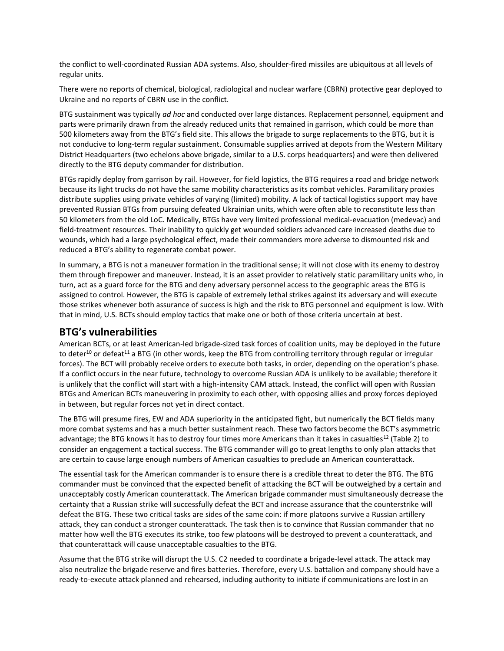the conflict to well-coordinated Russian ADA systems. Also, shoulder-fired missiles are ubiquitous at all levels of regular units.

There were no reports of chemical, biological, radiological and nuclear warfare (CBRN) protective gear deployed to Ukraine and no reports of CBRN use in the conflict.

BTG sustainment was typically *ad hoc* and conducted over large distances. Replacement personnel, equipment and parts were primarily drawn from the already reduced units that remained in garrison, which could be more than 500 kilometers away from the BTG's field site. This allows the brigade to surge replacements to the BTG, but it is not conducive to long-term regular sustainment. Consumable supplies arrived at depots from the Western Military District Headquarters (two echelons above brigade, similar to a U.S. corps headquarters) and were then delivered directly to the BTG deputy commander for distribution.

BTGs rapidly deploy from garrison by rail. However, for field logistics, the BTG requires a road and bridge network because its light trucks do not have the same mobility characteristics as its combat vehicles. Paramilitary proxies distribute supplies using private vehicles of varying (limited) mobility. A lack of tactical logistics support may have prevented Russian BTGs from pursuing defeated Ukrainian units, which were often able to reconstitute less than 50 kilometers from the old LoC. Medically, BTGs have very limited professional medical-evacuation (medevac) and field-treatment resources. Their inability to quickly get wounded soldiers advanced care increased deaths due to wounds, which had a large psychological effect, made their commanders more adverse to dismounted risk and reduced a BTG's ability to regenerate combat power.

In summary, a BTG is not a maneuver formation in the traditional sense; it will not close with its enemy to destroy them through firepower and maneuver. Instead, it is an asset provider to relatively static paramilitary units who, in turn, act as a guard force for the BTG and deny adversary personnel access to the geographic areas the BTG is assigned to control. However, the BTG is capable of extremely lethal strikes against its adversary and will execute those strikes whenever both assurance of success is high and the risk to BTG personnel and equipment is low. With that in mind, U.S. BCTs should employ tactics that make one or both of those criteria uncertain at best.

## **BTG's vulnerabilities**

American BCTs, or at least American-led brigade-sized task forces of coalition units, may be deployed in the future to deter<sup>10</sup> or defeat<sup>11</sup> a BTG (in other words, keep the BTG from controlling territory through regular or irregular forces). The BCT will probably receive orders to execute both tasks, in order, depending on the operation's phase. If a conflict occurs in the near future, technology to overcome Russian ADA is unlikely to be available; therefore it is unlikely that the conflict will start with a high-intensity CAM attack. Instead, the conflict will open with Russian BTGs and American BCTs maneuvering in proximity to each other, with opposing allies and proxy forces deployed in between, but regular forces not yet in direct contact.

The BTG will presume fires, EW and ADA superiority in the anticipated fight, but numerically the BCT fields many more combat systems and has a much better sustainment reach. These two factors become the BCT's asymmetric advantage; the BTG knows it has to destroy four times more Americans than it takes in casualties<sup>12</sup> (Table 2) to consider an engagement a tactical success. The BTG commander will go to great lengths to only plan attacks that are certain to cause large enough numbers of American casualties to preclude an American counterattack.

The essential task for the American commander is to ensure there is a credible threat to deter the BTG. The BTG commander must be convinced that the expected benefit of attacking the BCT will be outweighed by a certain and unacceptably costly American counterattack. The American brigade commander must simultaneously decrease the certainty that a Russian strike will successfully defeat the BCT and increase assurance that the counterstrike will defeat the BTG. These two critical tasks are sides of the same coin: if more platoons survive a Russian artillery attack, they can conduct a stronger counterattack. The task then is to convince that Russian commander that no matter how well the BTG executes its strike, too few platoons will be destroyed to prevent a counterattack, and that counterattack will cause unacceptable casualties to the BTG.

Assume that the BTG strike will disrupt the U.S. C2 needed to coordinate a brigade-level attack. The attack may also neutralize the brigade reserve and fires batteries. Therefore, every U.S. battalion and company should have a ready-to-execute attack planned and rehearsed, including authority to initiate if communications are lost in an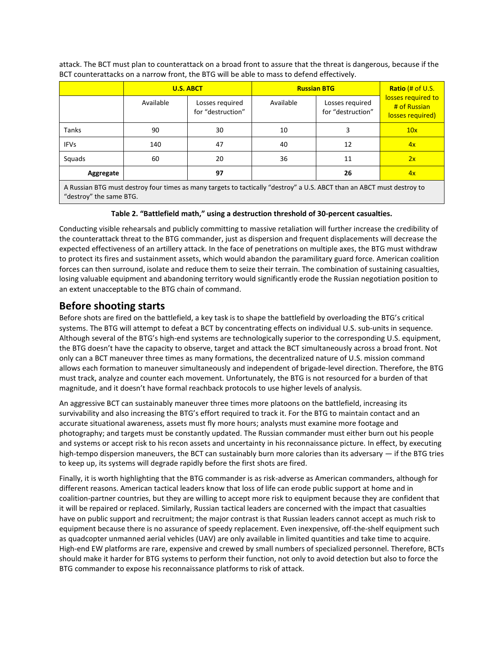attack. The BCT must plan to counterattack on a broad front to assure that the threat is dangerous, because if the BCT counterattacks on a narrow front, the BTG will be able to mass to defend effectively.

|                                                                                                                        | <b>U.S. ABCT</b> |                                      | <b>Russian BTG</b> |                                      | Ratio $#$ of U.S.                                      |
|------------------------------------------------------------------------------------------------------------------------|------------------|--------------------------------------|--------------------|--------------------------------------|--------------------------------------------------------|
|                                                                                                                        | Available        | Losses required<br>for "destruction" | Available          | Losses required<br>for "destruction" | losses required to<br># of Russian<br>losses required) |
| <b>Tanks</b>                                                                                                           | 90               | 30                                   | 10                 | 3                                    | 10x                                                    |
| <b>IFVs</b>                                                                                                            | 140              | 47                                   | 40                 | 12                                   | 4x                                                     |
| Squads                                                                                                                 | 60               | 20                                   | 36                 | 11                                   | 2x                                                     |
| Aggregate                                                                                                              |                  | 97                                   |                    | 26                                   | 4x                                                     |
| A Russian BTG must destroy four times as many targets to tactically "destroy" a U.S. ABCT than an ABCT must destroy to |                  |                                      |                    |                                      |                                                        |

"destroy" the same BTG.

#### **Table 2. "Battlefield math," using a destruction threshold of 30-percent casualties.**

Conducting visible rehearsals and publicly committing to massive retaliation will further increase the credibility of the counterattack threat to the BTG commander, just as dispersion and frequent displacements will decrease the expected effectiveness of an artillery attack. In the face of penetrations on multiple axes, the BTG must withdraw to protect its fires and sustainment assets, which would abandon the paramilitary guard force. American coalition forces can then surround, isolate and reduce them to seize their terrain. The combination of sustaining casualties, losing valuable equipment and abandoning territory would significantly erode the Russian negotiation position to an extent unacceptable to the BTG chain of command.

## **Before shooting starts**

Before shots are fired on the battlefield, a key task is to shape the battlefield by overloading the BTG's critical systems. The BTG will attempt to defeat a BCT by concentrating effects on individual U.S. sub-units in sequence. Although several of the BTG's high-end systems are technologically superior to the corresponding U.S. equipment, the BTG doesn't have the capacity to observe, target and attack the BCT simultaneously across a broad front. Not only can a BCT maneuver three times as many formations, the decentralized nature of U.S. mission command allows each formation to maneuver simultaneously and independent of brigade-level direction. Therefore, the BTG must track, analyze and counter each movement. Unfortunately, the BTG is not resourced for a burden of that magnitude, and it doesn't have formal reachback protocols to use higher levels of analysis.

An aggressive BCT can sustainably maneuver three times more platoons on the battlefield, increasing its survivability and also increasing the BTG's effort required to track it. For the BTG to maintain contact and an accurate situational awareness, assets must fly more hours; analysts must examine more footage and photography; and targets must be constantly updated. The Russian commander must either burn out his people and systems or accept risk to his recon assets and uncertainty in his reconnaissance picture. In effect, by executing high-tempo dispersion maneuvers, the BCT can sustainably burn more calories than its adversary — if the BTG tries to keep up, its systems will degrade rapidly before the first shots are fired.

Finally, it is worth highlighting that the BTG commander is as risk-adverse as American commanders, although for different reasons. American tactical leaders know that loss of life can erode public support at home and in coalition-partner countries, but they are willing to accept more risk to equipment because they are confident that it will be repaired or replaced. Similarly, Russian tactical leaders are concerned with the impact that casualties have on public support and recruitment; the major contrast is that Russian leaders cannot accept as much risk to equipment because there is no assurance of speedy replacement. Even inexpensive, off-the-shelf equipment such as quadcopter unmanned aerial vehicles (UAV) are only available in limited quantities and take time to acquire. High-end EW platforms are rare, expensive and crewed by small numbers of specialized personnel. Therefore, BCTs should make it harder for BTG systems to perform their function, not only to avoid detection but also to force the BTG commander to expose his reconnaissance platforms to risk of attack.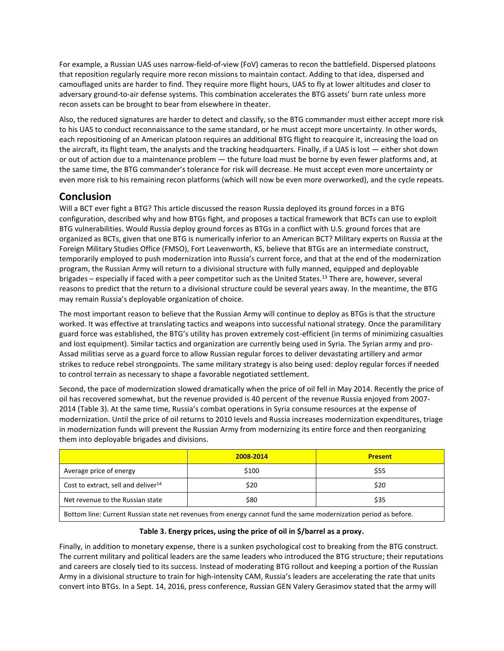For example, a Russian UAS uses narrow-field-of-view (FoV) cameras to recon the battlefield. Dispersed platoons that reposition regularly require more recon missions to maintain contact. Adding to that idea, dispersed and camouflaged units are harder to find. They require more flight hours, UAS to fly at lower altitudes and closer to adversary ground-to-air defense systems. This combination accelerates the BTG assets' burn rate unless more recon assets can be brought to bear from elsewhere in theater.

Also, the reduced signatures are harder to detect and classify, so the BTG commander must either accept more risk to his UAS to conduct reconnaissance to the same standard, or he must accept more uncertainty. In other words, each repositioning of an American platoon requires an additional BTG flight to reacquire it, increasing the load on the aircraft, its flight team, the analysts and the tracking headquarters. Finally, if a UAS is lost — either shot down or out of action due to a maintenance problem — the future load must be borne by even fewer platforms and, at the same time, the BTG commander's tolerance for risk will decrease. He must accept even more uncertainty or even more risk to his remaining recon platforms (which will now be even more overworked), and the cycle repeats.

# **Conclusion**

Will a BCT ever fight a BTG? This article discussed the reason Russia deployed its ground forces in a BTG configuration, described why and how BTGs fight, and proposes a tactical framework that BCTs can use to exploit BTG vulnerabilities. Would Russia deploy ground forces as BTGs in a conflict with U.S. ground forces that are organized as BCTs, given that one BTG is numerically inferior to an American BCT? Military experts on Russia at the Foreign Military Studies Office (FMSO), Fort Leavenworth, KS, believe that BTGs are an intermediate construct, temporarily employed to push modernization into Russia's current force, and that at the end of the modernization program, the Russian Army will return to a divisional structure with fully manned, equipped and deployable brigades – especially if faced with a peer competitor such as the United States.<sup>13</sup> There are, however, several reasons to predict that the return to a divisional structure could be several years away. In the meantime, the BTG may remain Russia's deployable organization of choice.

The most important reason to believe that the Russian Army will continue to deploy as BTGs is that the structure worked. It was effective at translating tactics and weapons into successful national strategy. Once the paramilitary guard force was established, the BTG's utility has proven extremely cost-efficient (in terms of minimizing casualties and lost equipment). Similar tactics and organization are currently being used in Syria. The Syrian army and pro-Assad militias serve as a guard force to allow Russian regular forces to deliver devastating artillery and armor strikes to reduce rebel strongpoints. The same military strategy is also being used: deploy regular forces if needed to control terrain as necessary to shape a favorable negotiated settlement.

Second, the pace of modernization slowed dramatically when the price of oil fell in May 2014. Recently the price of oil has recovered somewhat, but the revenue provided is 40 percent of the revenue Russia enjoyed from 2007- 2014 (Table 3). At the same time, Russia's combat operations in Syria consume resources at the expense of modernization. Until the price of oil returns to 2010 levels and Russia increases modernization expenditures, triage in modernization funds will prevent the Russian Army from modernizing its entire force and then reorganizing them into deployable brigades and divisions.

|                                                                                                                 | 2008-2014 | <b>Present</b> |  |  |  |
|-----------------------------------------------------------------------------------------------------------------|-----------|----------------|--|--|--|
| Average price of energy                                                                                         | \$100     | \$55           |  |  |  |
| Cost to extract, sell and deliver <sup>14</sup>                                                                 | \$20      | \$20           |  |  |  |
| Net revenue to the Russian state                                                                                | \$80      | \$35           |  |  |  |
| Bottom line: Current Bussian state not revenues from energy sannot fund the same modernization period as before |           |                |  |  |  |

Bottom line: Current Russian state net revenues from energy cannot fund the same modernization period as before.

## **Table 3. Energy prices, using the price of oil in \$/barrel as a proxy.**

Finally, in addition to monetary expense, there is a sunken psychological cost to breaking from the BTG construct. The current military and political leaders are the same leaders who introduced the BTG structure; their reputations and careers are closely tied to its success. Instead of moderating BTG rollout and keeping a portion of the Russian Army in a divisional structure to train for high-intensity CAM, Russia's leaders are accelerating the rate that units convert into BTGs. In a Sept. 14, 2016, press conference, Russian GEN Valery Gerasimov stated that the army will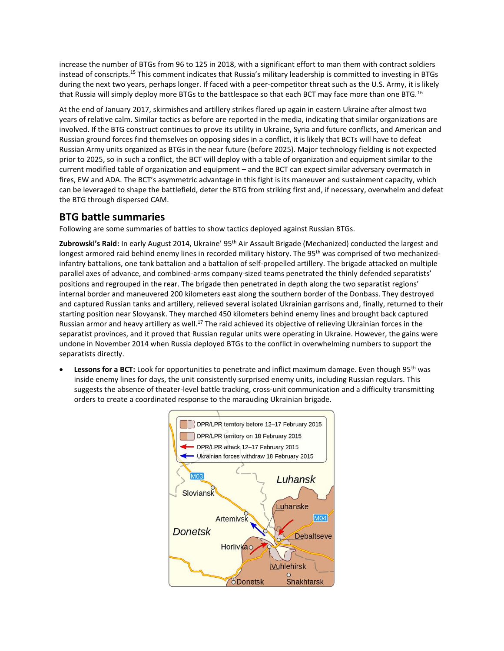increase the number of BTGs from 96 to 125 in 2018, with a significant effort to man them with contract soldiers instead of conscripts.<sup>15</sup> This comment indicates that Russia's military leadership is committed to investing in BTGs during the next two years, perhaps longer. If faced with a peer-competitor threat such as the U.S. Army, it is likely that Russia will simply deploy more BTGs to the battlespace so that each BCT may face more than one BTG.<sup>16</sup>

At the end of January 2017, skirmishes and artillery strikes flared up again in eastern Ukraine after almost two years of relative calm. Similar tactics as before are reported in the media, indicating that similar organizations are involved. If the BTG construct continues to prove its utility in Ukraine, Syria and future conflicts, and American and Russian ground forces find themselves on opposing sides in a conflict, it is likely that BCTs will have to defeat Russian Army units organized as BTGs in the near future (before 2025). Major technology fielding is not expected prior to 2025, so in such a conflict, the BCT will deploy with a table of organization and equipment similar to the current modified table of organization and equipment – and the BCT can expect similar adversary overmatch in fires, EW and ADA. The BCT's asymmetric advantage in this fight is its maneuver and sustainment capacity, which can be leveraged to shape the battlefield, deter the BTG from striking first and, if necessary, overwhelm and defeat the BTG through dispersed CAM.

## **BTG battle summaries**

Following are some summaries of battles to show tactics deployed against Russian BTGs.

Zubrowski's Raid: In early August 2014, Ukraine' 95<sup>th</sup> Air Assault Brigade (Mechanized) conducted the largest and longest armored raid behind enemy lines in recorded military history. The 95<sup>th</sup> was comprised of two mechanizedinfantry battalions, one tank battalion and a battalion of self-propelled artillery. The brigade attacked on multiple parallel axes of advance, and combined-arms company-sized teams penetrated the thinly defended separatists' positions and regrouped in the rear. The brigade then penetrated in depth along the two separatist regions' internal border and maneuvered 200 kilometers east along the southern border of the Donbass. They destroyed and captured Russian tanks and artillery, relieved several isolated Ukrainian garrisons and, finally, returned to their starting position near Slovyansk. They marched 450 kilometers behind enemy lines and brought back captured Russian armor and heavy artillery as well.<sup>17</sup> The raid achieved its objective of relieving Ukrainian forces in the separatist provinces, and it proved that Russian regular units were operating in Ukraine. However, the gains were undone in November 2014 when Russia deployed BTGs to the conflict in overwhelming numbers to support the separatists directly.

Lessons for a BCT: Look for opportunities to penetrate and inflict maximum damage. Even though 95<sup>th</sup> was inside enemy lines for days, the unit consistently surprised enemy units, including Russian regulars. This suggests the absence of theater-level battle tracking, cross-unit communication and a difficulty transmitting orders to create a coordinated response to the marauding Ukrainian brigade.

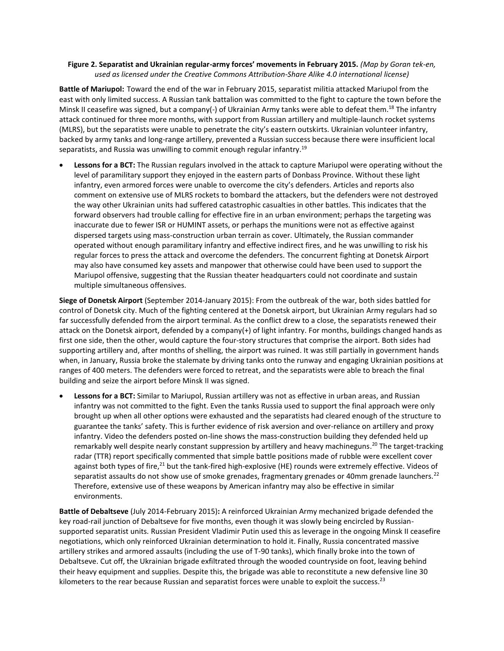#### **Figure 2. Separatist and Ukrainian regular-army forces' movements in February 2015.** *(Map by Goran tek-en, used as licensed under the Creative Commons Attribution-Share Alike 4.0 international license)*

**Battle of Mariupol:** Toward the end of the war in February 2015, separatist militia attacked Mariupol from the east with only limited success. A Russian tank battalion was committed to the fight to capture the town before the Minsk II ceasefire was signed, but a company(-) of Ukrainian Army tanks were able to defeat them.<sup>18</sup> The infantry attack continued for three more months, with support from Russian artillery and multiple-launch rocket systems (MLRS), but the separatists were unable to penetrate the city's eastern outskirts. Ukrainian volunteer infantry, backed by army tanks and long-range artillery, prevented a Russian success because there were insufficient local separatists, and Russia was unwilling to commit enough regular infantry.<sup>19</sup>

 **Lessons for a BCT:** The Russian regulars involved in the attack to capture Mariupol were operating without the level of paramilitary support they enjoyed in the eastern parts of Donbass Province. Without these light infantry, even armored forces were unable to overcome the city's defenders. Articles and reports also comment on extensive use of MLRS rockets to bombard the attackers, but the defenders were not destroyed the way other Ukrainian units had suffered catastrophic casualties in other battles. This indicates that the forward observers had trouble calling for effective fire in an urban environment; perhaps the targeting was inaccurate due to fewer ISR or HUMINT assets, or perhaps the munitions were not as effective against dispersed targets using mass-construction urban terrain as cover. Ultimately, the Russian commander operated without enough paramilitary infantry and effective indirect fires, and he was unwilling to risk his regular forces to press the attack and overcome the defenders. The concurrent fighting at Donetsk Airport may also have consumed key assets and manpower that otherwise could have been used to support the Mariupol offensive, suggesting that the Russian theater headquarters could not coordinate and sustain multiple simultaneous offensives.

**Siege of Donetsk Airport** (September 2014-January 2015): From the outbreak of the war, both sides battled for control of Donetsk city. Much of the fighting centered at the Donetsk airport, but Ukrainian Army regulars had so far successfully defended from the airport terminal. As the conflict drew to a close, the separatists renewed their attack on the Donetsk airport, defended by a company(+) of light infantry. For months, buildings changed hands as first one side, then the other, would capture the four-story structures that comprise the airport. Both sides had supporting artillery and, after months of shelling, the airport was ruined. It was still partially in government hands when, in January, Russia broke the stalemate by driving tanks onto the runway and engaging Ukrainian positions at ranges of 400 meters. The defenders were forced to retreat, and the separatists were able to breach the final building and seize the airport before Minsk II was signed.

 **Lessons for a BCT:** Similar to Mariupol, Russian artillery was not as effective in urban areas, and Russian infantry was not committed to the fight. Even the tanks Russia used to support the final approach were only brought up when all other options were exhausted and the separatists had cleared enough of the structure to guarantee the tanks' safety. This is further evidence of risk aversion and over-reliance on artillery and proxy infantry. Video the defenders posted on-line shows the mass-construction building they defended held up remarkably well despite nearly constant suppression by artillery and heavy machineguns.<sup>20</sup> The target-tracking radar (TTR) report specifically commented that simple battle positions made of rubble were excellent cover against both types of fire,<sup>21</sup> but the tank-fired high-explosive (HE) rounds were extremely effective. Videos of separatist assaults do not show use of smoke grenades, fragmentary grenades or 40mm grenade launchers.<sup>22</sup> Therefore, extensive use of these weapons by American infantry may also be effective in similar environments.

**Battle of Debaltseve** (July 2014-February 2015)**:** A reinforced Ukrainian Army mechanized brigade defended the key road-rail junction of Debaltseve for five months, even though it was slowly being encircled by Russiansupported separatist units. Russian President Vladimir Putin used this as leverage in the ongoing Minsk II ceasefire negotiations, which only reinforced Ukrainian determination to hold it. Finally, Russia concentrated massive artillery strikes and armored assaults (including the use of T-90 tanks), which finally broke into the town of Debaltseve. Cut off, the Ukrainian brigade exfiltrated through the wooded countryside on foot, leaving behind their heavy equipment and supplies. Despite this, the brigade was able to reconstitute a new defensive line 30 kilometers to the rear because Russian and separatist forces were unable to exploit the success.<sup>23</sup>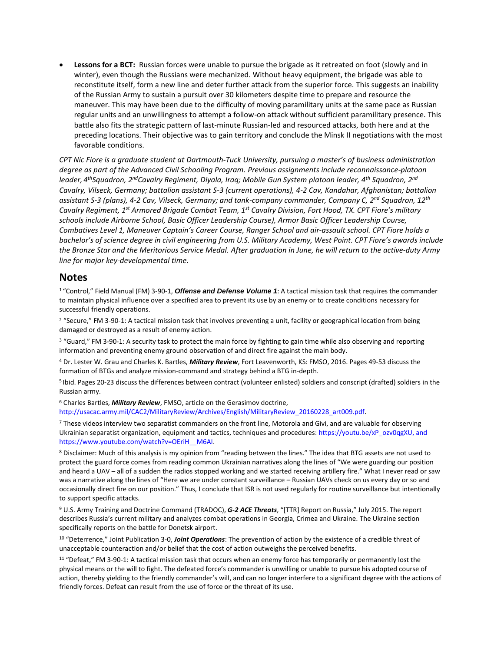**Lessons for a BCT:** Russian forces were unable to pursue the brigade as it retreated on foot (slowly and in winter), even though the Russians were mechanized. Without heavy equipment, the brigade was able to reconstitute itself, form a new line and deter further attack from the superior force. This suggests an inability of the Russian Army to sustain a pursuit over 30 kilometers despite time to prepare and resource the maneuver. This may have been due to the difficulty of moving paramilitary units at the same pace as Russian regular units and an unwillingness to attempt a follow-on attack without sufficient paramilitary presence. This battle also fits the strategic pattern of last-minute Russian-led and resourced attacks, both here and at the preceding locations. Their objective was to gain territory and conclude the Minsk II negotiations with the most favorable conditions.

*CPT Nic Fiore is a graduate student at Dartmouth-Tuck University, pursuing a master's of business administration degree as part of the Advanced Civil Schooling Program. Previous assignments include reconnaissance-platoon leader, 4 thSquadron, 2ndCavalry Regiment, Diyala, Iraq; Mobile Gun System platoon leader, 4th Squadron, 2nd Cavalry, Vilseck, Germany; battalion assistant S-3 (current operations), 4-2 Cav, Kandahar, Afghanistan; battalion assistant S-3 (plans), 4-2 Cav, Vilseck, Germany; and tank-company commander, Company C, 2nd Squadron, 12th Cavalry Regiment, 1st Armored Brigade Combat Team, 1st Cavalry Division, Fort Hood, TX. CPT Fiore's military schools include Airborne School, Basic Officer Leadership Course), Armor Basic Officer Leadership Course, Combatives Level 1, Maneuver Captain's Career Course, Ranger School and air-assault school. CPT Fiore holds a bachelor's of science degree in civil engineering from U.S. Military Academy, West Point. CPT Fiore's awards include the Bronze Star and the Meritorious Service Medal. After graduation in June, he will return to the active-duty Army line for major key-developmental time.*

#### **Notes**

<sup>1</sup>"Control," Field Manual (FM) 3-90-1, *Offense and Defense Volume 1*: A tactical mission task that requires the commander to maintain physical influence over a specified area to prevent its use by an enemy or to create conditions necessary for successful friendly operations.

<sup>2</sup> "Secure," FM 3-90-1: A tactical mission task that involves preventing a unit, facility or geographical location from being damaged or destroyed as a result of enemy action.

<sup>3</sup> "Guard," FM 3-90-1: A security task to protect the main force by fighting to gain time while also observing and reporting information and preventing enemy ground observation of and direct fire against the main body.

<sup>4</sup> Dr. Lester W. Grau and Charles K. Bartles, *Military Review*, Fort Leavenworth, KS: FMSO, 2016. Pages 49-53 discuss the formation of BTGs and analyze mission-command and strategy behind a BTG in-depth.

<sup>5</sup> Ibid. Pages 20-23 discuss the differences between contract (volunteer enlisted) soldiers and conscript (drafted) soldiers in the Russian army.

<sup>6</sup> Charles Bartles, *Military Review*, FMSO, article on the Gerasimov doctrine, http://usacac.army.mil/CAC2/MilitaryReview/Archives/English/MilitaryReview\_20160228\_art009.pdf.

<sup>7</sup> These videos interview two separatist commanders on the front line, Motorola and Givi, and are valuable for observing Ukrainian separatist organization, equipment and tactics, techniques and procedures: https://youtu.be/xP\_ozv0qgXU, and https://www.youtube.com/watch?v=OEriH\_\_M6AI.

<sup>8</sup> Disclaimer: Much of this analysis is my opinion from "reading between the lines." The idea that BTG assets are not used to protect the guard force comes from reading common Ukrainian narratives along the lines of "We were guarding our position and heard a UAV – all of a sudden the radios stopped working and we started receiving artillery fire." What I never read or saw was a narrative along the lines of "Here we are under constant surveillance – Russian UAVs check on us every day or so and occasionally direct fire on our position." Thus, I conclude that ISR is not used regularly for routine surveillance but intentionally to support specific attacks.

<sup>9</sup> U.S. Army Training and Doctrine Command (TRADOC), *G-2 ACE Threats*, "[TTR] Report on Russia," July 2015. The report describes Russia's current military and analyzes combat operations in Georgia, Crimea and Ukraine. The Ukraine section specifically reports on the battle for Donetsk airport.

<sup>10</sup> "Deterrence," Joint Publication 3-0, *Joint Operations*: The prevention of action by the existence of a credible threat of unacceptable counteraction and/or belief that the cost of action outweighs the perceived benefits.

<sup>11</sup> "Defeat," FM 3-90-1: A tactical mission task that occurs when an enemy force has temporarily or permanently lost the physical means or the will to fight. The defeated force's commander is unwilling or unable to pursue his adopted course of action, thereby yielding to the friendly commander's will, and can no longer interfere to a significant degree with the actions of friendly forces. Defeat can result from the use of force or the threat of its use.